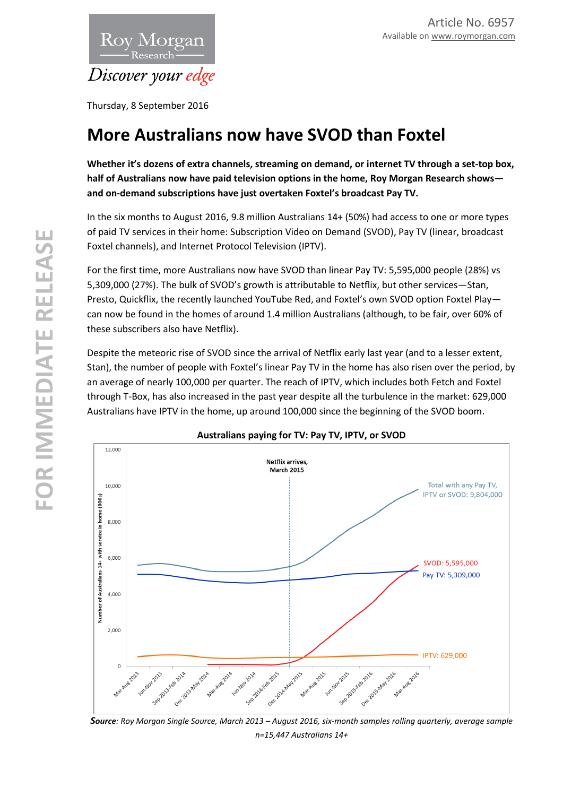

Thursday, 8 September 2016

## **More Australians now have SVOD than Foxtel**

**Whether it's dozens of extra channels, streaming on demand, or internet TV through a set-top box, half of Australians now have paid television options in the home, Roy Morgan Research shows and on-demand subscriptions have just overtaken Foxtel's broadcast Pay TV.** 

In the six months to August 2016, 9.8 million Australians 14+ (50%) had access to one or more types of paid TV services in their home: Subscription Video on Demand (SVOD), Pay TV (linear, broadcast Foxtel channels), and Internet Protocol Television (IPTV).

For the first time, more Australians now have SVOD than linear Pay TV: 5,595,000 people (28%) vs 5,309,000 (27%). The bulk of SVOD's growth is attributable to Netflix, but other services—Stan, Presto, Quickflix, the recently launched YouTube Red, and Foxtel's own SVOD option Foxtel Play can now be found in the homes of around 1.4 million Australians (although, to be fair, over 60% of these subscribers also have Netflix).

Despite the meteoric rise of SVOD since the arrival of Netflix early last year (and to a lesser extent, Stan), the number of people with Foxtel's linear Pay TV in the home has also risen over the period, by an average of nearly 100,000 per quarter. The reach of IPTV, which includes both Fetch and Foxtel through T-Box, has also increased in the past year despite all the turbulence in the market: 629,000 Australians have IPTV in the home, up around 100,000 since the beginning of the SVOD boom.



**Australians paying for TV: Pay TV, IPTV, or SVOD** 

*Source: Roy Morgan Single Source, March 2013 – August 2016, six-month samples rolling quarterly, average sample n=15,447 Australians 14+*